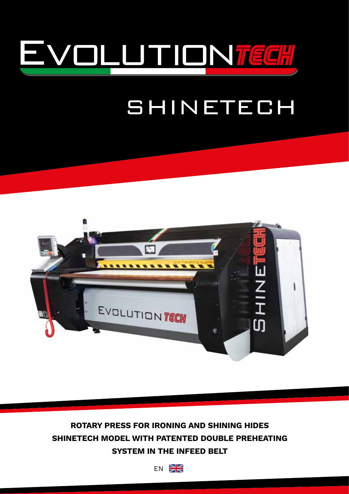

# SHINETECH



**ROTARY PRESS FOR IRONING AND SHINING HIDES SHINETECH MODEL WITH PATENTED DOUBLE PREHEATING SYSTEM IN THE INFEED BELT**

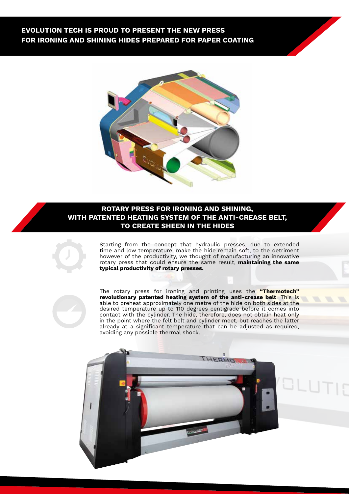### **EVOLUTION TECH IS PROUD TO PRESENT THE NEW PRESS FOR IRONING AND SHINING HIDES PREPARED FOR PAPER COATING**



### **ROTARY PRESS FOR IRONING AND SHINING, WITH PATENTED HEATING SYSTEM OF THE ANTI-CREASE BELT, TO CREATE SHEEN IN THE HIDES**



Starting from the concept that hydraulic presses, due to extended time and low temperature, make the hide remain soft, to the detriment however of the productivity, we thought of manufacturing an innovative rotary press that could ensure the same result, **maintaining the same typical productivity of rotary presses.**



The rotary press for ironing and printing uses the **"Thermotech" revolutionary patented heating system of the anti-crease belt**. This is able to preheat approximately one metre of the hide on both sides at the desired temperature up to 110 degrees centigrade before it comes into contact with the cylinder. The hide, therefore, does not obtain heat only in the point where the felt belt and cylinder meet, but reaches the latter already at a significant temperature that can be adjusted as required, avoiding any possible thermal shock.

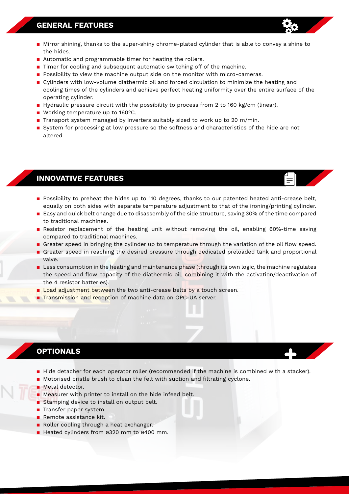### **GENERAL FEATURES**

- Mirror shining, thanks to the super-shiny chrome-plated cylinder that is able to convey a shine to the hides.
- Automatic and programmable timer for heating the rollers.
- $\blacksquare$  Timer for cooling and subsequent automatic switching off of the machine.
- **Possibility to view the machine output side on the monitor with micro-cameras.**
- Cylinders with low-volume diathermic oil and forced circulation to minimize the heating and cooling times of the cylinders and achieve perfect heating uniformity over the entire surface of the operating cylinder.
- **•** Hydraulic pressure circuit with the possibility to process from 2 to 160 kg/cm (linear).
- Working temperature up to 160°C.
- **Transport system managed by inverters suitably sized to work up to 20 m/min.**
- **B** System for processing at low pressure so the softness and characteristics of the hide are not altered.

### **INNOVATIVE FEATURES**

- **•** Possibility to preheat the hides up to 110 degrees, thanks to our patented heated anti-crease belt, equally on both sides with separate temperature adjustment to that of the ironing/printing cylinder.
- Easy and quick belt change due to disassembly of the side structure, saving 30% of the time compared to traditional machines.
- **B** Resistor replacement of the heating unit without removing the oil, enabling 60%-time saving compared to traditional machines.
- **Example 2** Greater speed in bringing the cylinder up to temperature through the variation of the oil flow speed.
- **E** Greater speed in reaching the desired pressure through dedicated preloaded tank and proportional valve.
- **EXTENDING IN LESS CONSUMPTION in the heating and maintenance phase (through its own logic, the machine regulates** the speed and flow capacity of the diathermic oil, combining it with the activation/deactivation of the 4 resistor batteries).
- **E** Load adjustment between the two anti-crease belts by a touch screen.
- **Transmission and reception of machine data on OPC-UA server.**

### **OPTIONALS**

- **E** Hide detacher for each operator roller (recommended if the machine is combined with a stacker).
- **•** Motorised bristle brush to clean the felt with suction and filtrating cyclone.
- **R** Metal detector.
- **B** Measurer with printer to install on the hide infeed belt.
- Stamping device to install on output belt.
- **Transfer paper system.**
- $\blacksquare$  Remote assistance kit.
- Roller cooling through a heat exchanger.
- Heated cylinders from 0320 mm to 0400 mm.